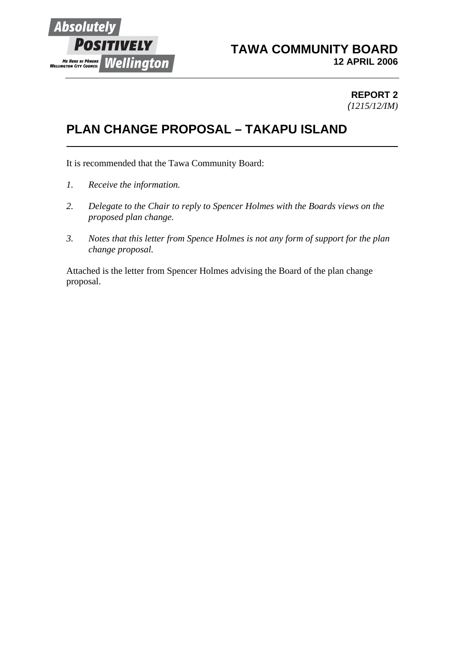

## **TAWA COMMUNITY BOARD 12 APRIL 2006**

#### **REPORT 2** *(1215/12/IM)*

# **PLAN CHANGE PROPOSAL – TAKAPU ISLAND**

It is recommended that the Tawa Community Board:

- *1. Receive the information.*
- *2. Delegate to the Chair to reply to Spencer Holmes with the Boards views on the proposed plan change.*
- *3. Notes that this letter from Spence Holmes is not any form of support for the plan change proposal.*

Attached is the letter from Spencer Holmes advising the Board of the plan change proposal.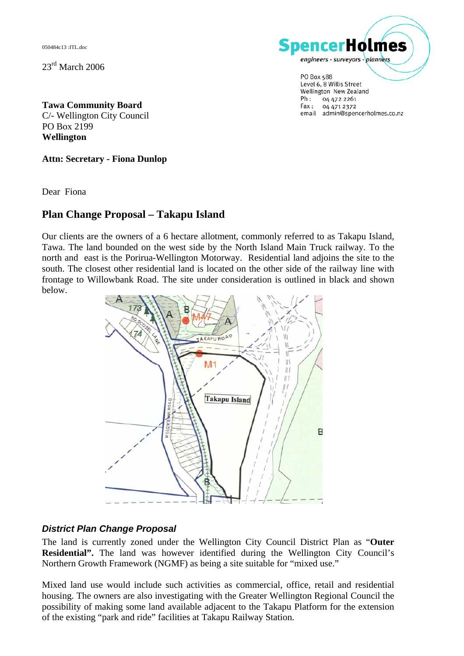050484c13 :ITL.doc

 $23<sup>rd</sup>$  March 2006



PO Box 588 Level 6, 8 Willis Street Wellington New Zealand  $Ph:$ 04 472 2261 Fax: 04 471 2372 email admin@spencerholmes.co.nz

**Tawa Community Board**  C/- Wellington City Council PO Box 2199 **Wellington**

**Attn: Secretary - Fiona Dunlop** 

Dear Fiona

## **Plan Change Proposal – Takapu Island**

Our clients are the owners of a 6 hectare allotment, commonly referred to as Takapu Island, Tawa. The land bounded on the west side by the North Island Main Truck railway. To the north and east is the Porirua-Wellington Motorway. Residential land adjoins the site to the south. The closest other residential land is located on the other side of the railway line with frontage to Willowbank Road. The site under consideration is outlined in black and shown below.



#### *District Plan Change Proposal*

The land is currently zoned under the Wellington City Council District Plan as "**Outer Residential".** The land was however identified during the Wellington City Council's Northern Growth Framework (NGMF) as being a site suitable for "mixed use."

Mixed land use would include such activities as commercial, office, retail and residential housing. The owners are also investigating with the Greater Wellington Regional Council the possibility of making some land available adjacent to the Takapu Platform for the extension of the existing "park and ride" facilities at Takapu Railway Station.